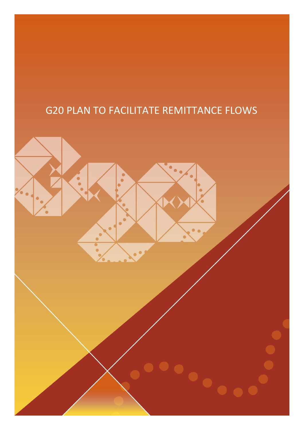# G20 PLAN TO FACILITATE REMITTANCE FLOWS

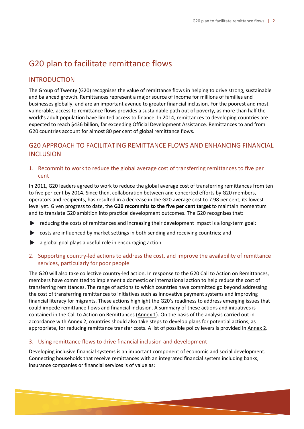## G20 plan to facilitate remittance flows

#### INTRODUCTION

The Group of Twenty (G20) recognises the value of remittance flows in helping to drive strong, sustainable and balanced growth. Remittances represent a major source of income for millions of families and businesses globally, and are an important avenue to greater financial inclusion. For the poorest and most vulnerable, access to remittance flows provides a sustainable path out of poverty, as more than half the world's adult population have limited access to finance. In 2014, remittances to developing countries are expected to reach \$436 billion, far exceeding Official Development Assistance. Remittances to and from G20 countries account for almost 80 per cent of global remittance flows.

### G20 APPROACH TO FACILITATING REMITTANCE FLOWS AND ENHANCING FINANCIAL **INCLUSION**

1. Recommit to work to reduce the global average cost of transferring remittances to five per cent

In 2011, G20 leaders agreed to work to reduce the global average cost of transferring remittances from ten to five per cent by 2014. Since then, collaboration between and concerted efforts by G20 members, operators and recipients, has resulted in a decrease in the G20 average cost to 7.98 per cent, its lowest level yet. Given progress to date, the **G20 recommits to the five per cent target** to maintain momentum and to translate G20 ambition into practical development outcomes. The G20 recognises that:

- reducing the costs of remittances and increasing their development impact is a long-term goal;
- costs are influenced by market settings in both sending and receiving countries; and  $\blacktriangleright$
- $\blacktriangleright$ a global goal plays a useful role in encouraging action.
- 2. Supporting country-led actions to address the cost, and improve the availability of remittance services, particularly for poor people

The G20 will also take collective country-led action. In response to the G20 Call to Action on Remittances, members have committed to implement a domestic or international action to help reduce the cost of transferring remittances. The range of actions to which countries have committed go beyond addressing the cost of transferring remittances to initiatives such as innovative payment systems and improving financial literacy for migrants. These actions highlight the G20's readiness to address emerging issues that could impede remittance flows and financial inclusion. A summary of these actions and initiatives is contained in the Call to Action on Remittances (Annex 1). On the basis of the analysis carried out in accordance with Annex 2, countries should also take steps to develop plans for potential actions, as appropriate, for reducing remittance transfer costs. A list of possible policy levers is provided in Annex 2.

#### 3. Using remittance flows to drive financial inclusion and development

Developing inclusive financial systems is an important component of economic and social development. Connecting households that receive remittances with an integrated financial system including banks, insurance companies or financial services is of value as: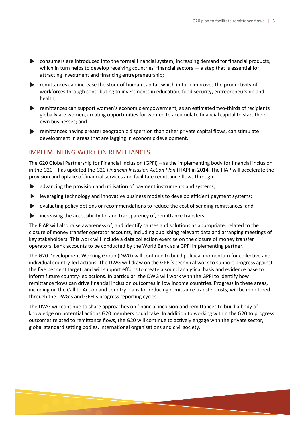- consumers are introduced into the formal financial system, increasing demand for financial products, which in turn helps to develop receiving countries' financial sectors — a step that is essential for attracting investment and financing entrepreneurship;
- remittances can increase the stock of human capital, which in turn improves the productivity of workforces through contributing to investments in education, food security, entrepreneurship and health;
- **P** remittances can support women's economic empowerment, as an estimated two-thirds of recipients globally are women, creating opportunities for women to accumulate financial capital to start their own businesses; and
- $\blacktriangleright$  remittances having greater geographic dispersion than other private capital flows, can stimulate development in areas that are lagging in economic development.

#### IMPLEMENTING WORK ON REMITTANCES

The G20 Global Partnership for Financial Inclusion (GPFI) – as the implementing body for financial inclusion in the G20 – has updated the G20 *Financial Inclusion Action Plan* (FIAP) in 2014. The FIAP will accelerate the provision and uptake of financial services and facilitate remittance flows through:

- advancing the provision and utilisation of payment instruments and systems;
- leveraging technology and innovative business models to develop efficient payment systems;
- evaluating policy options or recommendations to reduce the cost of sending remittances; and
- **EXEC** increasing the accessibility to, and transparency of, remittance transfers.

The FIAP will also raise awareness of, and identify causes and solutions as appropriate, related to the closure of money transfer operator accounts, including publishing relevant data and arranging meetings of key stakeholders. This work will include a data collection exercise on the closure of money transfer operators' bank accounts to be conducted by the World Bank as a GPFI implementing partner.

The G20 Development Working Group (DWG) will continue to build political momentum for collective and individual country-led actions. The DWG will draw on the GPFI's technical work to support progress against the five per cent target, and will support efforts to create a sound analytical basis and evidence base to inform future country-led actions. In particular, the DWG will work with the GPFI to identify how remittance flows can drive financial inclusion outcomes in low income countries. Progress in these areas, including on the Call to Action and country plans for reducing remittance transfer costs, will be monitored through the DWG's and GPFI's progress reporting cycles.

The DWG will continue to share approaches on financial inclusion and remittances to build a body of knowledge on potential actions G20 members could take. In addition to working within the G20 to progress outcomes related to remittance flows, the G20 will continue to actively engage with the private sector, global standard setting bodies, international organisations and civil society.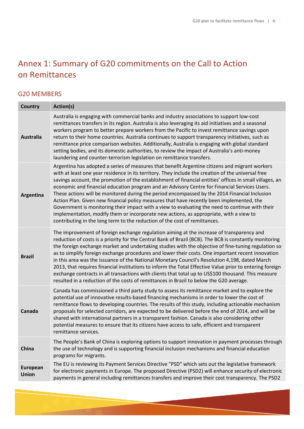# Annex 1: Summary of G20 commitments on the Call to Action on Remittances

## G20 MEMBERS

| <b>Country</b>           | Action(s)                                                                                                                                                                                                                                                                                                                                                                                                                                                                                                                                                                                                                                                                                                                                                                                                                                                                                  |
|--------------------------|--------------------------------------------------------------------------------------------------------------------------------------------------------------------------------------------------------------------------------------------------------------------------------------------------------------------------------------------------------------------------------------------------------------------------------------------------------------------------------------------------------------------------------------------------------------------------------------------------------------------------------------------------------------------------------------------------------------------------------------------------------------------------------------------------------------------------------------------------------------------------------------------|
| <b>Australia</b>         | Australia is engaging with commercial banks and industry associations to support low-cost<br>remittances transfers in its region. Australia is also leveraging its aid initiatives and a seasonal<br>workers program to better prepare workers from the Pacific to invest remittance savings upon<br>return to their home countries. Australia continues to support transparency initiatives, such as<br>remittance price comparison websites. Additionally, Australia is engaging with global standard<br>setting bodies, and its domestic authorities, to review the impact of Australia's anti-money<br>laundering and counter-terrorism legislation on remittance transfers.                                                                                                                                                                                                           |
| Argentina                | Argentina has adopted a series of measures that benefit Argentine citizens and migrant workers<br>with at least one year residence in its territory. They include the creation of the universal free<br>savings account, the promotion of the establishment of financial entities' offices in small villages, an<br>economic and financial education program and an Advisory Centre for Financial Services Users.<br>These actions will be monitored during the period encompassed by the 2014 Financial Inclusion<br>Action Plan. Given new financial policy measures that have recently been implemented, the<br>Government is monitoring their impact with a view to evaluating the need to continue with their<br>implementation, modify them or incorporate new actions, as appropriate, with a view to<br>contributing in the long term to the reduction of the cost of remittances. |
| <b>Brazil</b>            | The improvement of foreign exchange regulation aiming at the increase of transparency and<br>reduction of costs is a priority for the Central Bank of Brazil (BCB). The BCB is constantly monitoring<br>the foreign exchange market and undertaking studies with the objective of fine-tuning regulation so<br>as to simplify foreign exchange procedures and lower their costs. One important recent innovation<br>in this area was the issuance of the National Monetary Council's Resolution 4,198, dated March<br>2013, that requires financial institutions to inform the Total Effective Value prior to entering foreign<br>exchange contracts in all transactions with clients that total up to US\$100 thousand. This measure<br>resulted in a reduction of the costs of remittances in Brazil to below the G20 average.                                                           |
| Canada                   | Canada has commissioned a third party study to assess its remittance market and to explore the<br>potential use of innovative results-based financing mechanisms in order to lower the cost of<br>remittance flows to developing countries. The results of this study, including actionable mechanism<br>proposals for selected corridors, are expected to be delivered before the end of 2014, and will be<br>shared with international partners in a transparent fashion. Canada is also considering other<br>potential measures to ensure that its citizens have access to safe, efficient and transparent<br>remittance services.                                                                                                                                                                                                                                                      |
| China                    | The People's Bank of China is exploring options to support innovation in payment processes through<br>the use of technology and is supporting financial inclusion mechanisms and financial education<br>programs for migrants.                                                                                                                                                                                                                                                                                                                                                                                                                                                                                                                                                                                                                                                             |
| European<br><b>Union</b> | The EU is reviewing its Payment Services Directive "PSD" which sets out the legislative framework<br>for electronic payments in Europe. The proposed Directive (PSD2) will enhance security of electronic<br>payments in general including remittances transfers and improve their cost transparency. The PSD2                                                                                                                                                                                                                                                                                                                                                                                                                                                                                                                                                                             |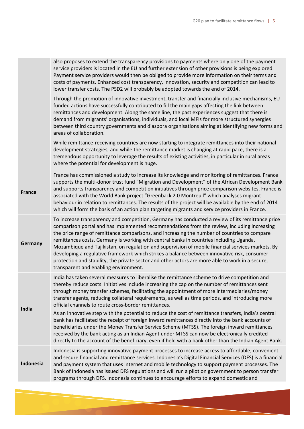|               | service providers is located in the EU and further extension of other provisions is being explored.<br>Payment service providers would then be obliged to provide more information on their terms and<br>costs of payments. Enhanced cost transparency, innovation, security and competition can lead to<br>lower transfer costs. The PSD2 will probably be adopted towards the end of 2014.                                                                                                                                                                                                                                                                                                                                                |
|---------------|---------------------------------------------------------------------------------------------------------------------------------------------------------------------------------------------------------------------------------------------------------------------------------------------------------------------------------------------------------------------------------------------------------------------------------------------------------------------------------------------------------------------------------------------------------------------------------------------------------------------------------------------------------------------------------------------------------------------------------------------|
|               | Through the promotion of innovative investment, transfer and financially inclusive mechanisms, EU-<br>funded actions have successfully contributed to fill the main gaps affecting the link between<br>remittances and development. Along the same line, the past experiences suggest that there is<br>demand from migrants' organisations, individuals, and local MFIs for more structured synergies<br>between third country governments and diaspora organisations aiming at identifying new forms and<br>areas of collaboration.                                                                                                                                                                                                        |
|               | While remittance-receiving countries are now starting to integrate remittances into their national<br>development strategies, and while the remittance market is changing at rapid pace, there is a<br>tremendous opportunity to leverage the results of existing activities, in particular in rural areas<br>where the potential for development is huge.                                                                                                                                                                                                                                                                                                                                                                                  |
| <b>France</b> | France has commissioned a study to increase its knowledge and monitoring of remittances. France<br>supports the multi-donor trust fund "Migration and Development" of the African Development Bank<br>and supports transparency and competition initiatives through price comparison websites. France is<br>associated with the World Bank project "Greenback 2.0 Montreuil" which analyses migrant<br>behaviour in relation to remittances. The results of the project will be available by the end of 2014<br>which will form the basis of an action plan targeting migrants and service providers in France.                                                                                                                             |
| Germany       | To increase transparency and competition, Germany has conducted a review of its remittance price<br>comparison portal and has implemented recommendations from the review, including increasing<br>the price range of remittance comparisons, and increasing the number of countries to compare<br>remittances costs. Germany is working with central banks in countries including Uganda,<br>Mozambique and Tajikistan, on regulation and supervision of mobile financial services markets. By<br>developing a regulative framework which strikes a balance between innovative risk, consumer<br>protection and stability, the private sector and other actors are more able to work in a secure,<br>transparent and enabling environment. |
| India         | India has taken several measures to liberalise the remittance scheme to drive competition and<br>thereby reduce costs. Initiatives include increasing the cap on the number of remittances sent<br>through money transfer schemes, facilitating the appointment of more intermediaries/money<br>transfer agents, reducing collateral requirements, as well as time periods, and introducing more<br>official channels to route cross-border remittances.                                                                                                                                                                                                                                                                                    |
|               | As an innovative step with the potential to reduce the cost of remittance transfers, India's central<br>bank has facilitated the receipt of foreign inward remittances directly into the bank accounts of<br>beneficiaries under the Money Transfer Service Scheme (MTSS). The foreign inward remittances<br>received by the bank acting as an Indian Agent under MTSS can now be electronically credited<br>directly to the account of the beneficiary, even if held with a bank other than the Indian Agent Bank.                                                                                                                                                                                                                         |
| Indonesia     | Indonesia is supporting innovative payment processes to increase access to affordable, convenient<br>and secure financial and remittance services. Indonesia's Digital Financial Services (DFS) is a financial<br>and payment system that uses internet and mobile technology to support payment processes. The<br>Bank of Indonesia has issued DFS regulations and will run a pilot on government to person transfer<br>programs through DFS. Indonesia continues to encourage efforts to expand domestic and                                                                                                                                                                                                                              |
|               |                                                                                                                                                                                                                                                                                                                                                                                                                                                                                                                                                                                                                                                                                                                                             |

also proposes to extend the transparency provisions to payments where only one of the payment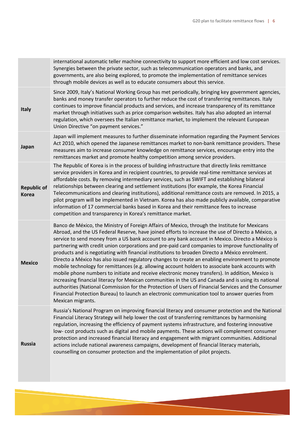|                                    | international automatic teller machine connectivity to support more efficient and low cost services.<br>Synergies between the private sector, such as telecommunication operators and banks, and<br>governments, are also being explored, to promote the implementation of remittance services<br>through mobile devices as well as to educate consumers about this service.                                                                                                                                                                                                                                                                                                                                                                                                                                                                                                                                                                                                                                                                                                                                                                                     |
|------------------------------------|------------------------------------------------------------------------------------------------------------------------------------------------------------------------------------------------------------------------------------------------------------------------------------------------------------------------------------------------------------------------------------------------------------------------------------------------------------------------------------------------------------------------------------------------------------------------------------------------------------------------------------------------------------------------------------------------------------------------------------------------------------------------------------------------------------------------------------------------------------------------------------------------------------------------------------------------------------------------------------------------------------------------------------------------------------------------------------------------------------------------------------------------------------------|
| <b>Italy</b>                       | Since 2009, Italy's National Working Group has met periodically, bringing key government agencies,<br>banks and money transfer operators to further reduce the cost of transferring remittances. Italy<br>continues to improve financial products and services, and increase transparency of its remittance<br>market through initiatives such as price comparison websites. Italy has also adopted an internal<br>regulation, which oversees the Italian remittance market, to implement the relevant European<br>Union Directive "on payment services."                                                                                                                                                                                                                                                                                                                                                                                                                                                                                                                                                                                                        |
| Japan                              | Japan will implement measures to further disseminate information regarding the Payment Services<br>Act 2010, which opened the Japanese remittances market to non-bank remittance providers. These<br>measures aim to increase consumer knowledge on remittance services, encourage entry into the<br>remittances market and promote healthy competition among service providers.                                                                                                                                                                                                                                                                                                                                                                                                                                                                                                                                                                                                                                                                                                                                                                                 |
| <b>Republic of</b><br><b>Korea</b> | The Republic of Korea is in the process of building infrastructure that directly links remittance<br>service providers in Korea and in recipient countries, to provide real-time remittance services at<br>affordable costs. By removing intermediary services, such as SWIFT and establishing bilateral<br>relationships between clearing and settlement institutions (for example, the Korea Financial<br>Telecommunications and clearing institutions), additional remittance costs are removed. In 2015, a<br>pilot program will be implemented in Vietnam. Korea has also made publicly available, comparative<br>information of 17 commercial banks based in Korea and their remittance fees to increase<br>competition and transparency in Korea's remittance market.                                                                                                                                                                                                                                                                                                                                                                                     |
| <b>Mexico</b>                      | Banco de México, the Ministry of Foreign Affairs of Mexico, through the Institute for Mexicans<br>Abroad, and the US Federal Reserve, have joined efforts to increase the use of Directo a México, a<br>service to send money from a US bank account to any bank account in Mexico. Directo a México is<br>partnering with credit union corporations and pre-paid card companies to improve functionality of<br>products and is negotiating with financial institutions to broaden Directo a México enrolment.<br>Directo a México has also issued regulatory changes to create an enabling environment to promote<br>mobile technology for remittances (e.g. allowing account holders to associate bank accounts with<br>mobile phone numbers to initiate and receive electronic money transfers). In addition, Mexico is<br>increasing financial literacy for Mexican communities in the US and Canada and is using its national<br>authorities (National Commission for the Protection of Users of Financial Services and the Consumer<br>Financial Protection Bureau) to launch an electronic communication tool to answer queries from<br>Mexican migrants. |
| <b>Russia</b>                      | Russia's National Program on improving financial literacy and consumer protection and the National<br>Financial Literacy Strategy will help lower the cost of transferring remittances by harmonising<br>regulation, increasing the efficiency of payment systems infrastructure, and fostering innovative<br>low-cost products such as digital and mobile payments. These actions will complement consumer<br>protection and increased financial literacy and engagement with migrant communities. Additional<br>actions include national awareness campaigns, development of financial literacy materials,<br>counselling on consumer protection and the implementation of pilot projects.                                                                                                                                                                                                                                                                                                                                                                                                                                                                     |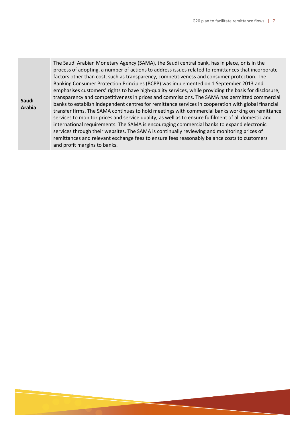**Contract Contract**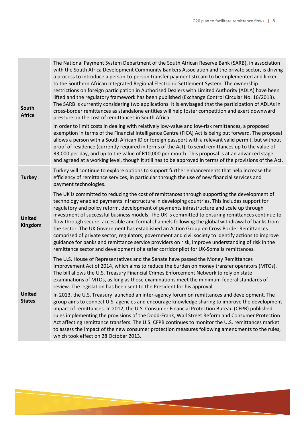| South<br><b>Africa</b>         | The National Payment System Department of the South African Reserve Bank (SARB), in association<br>with the South Africa Development Community Bankers Association and the private sector, is driving<br>a process to introduce a person-to-person transfer payment stream to be implemented and linked<br>to the Southern African Integrated Regional Electronic Settlement System. The ownership<br>restrictions on foreign participation in Authorised Dealers with Limited Authority (ADLA) have been<br>lifted and the regulatory framework has been published (Exchange Control Circular No. 16/2013).<br>The SARB is currently considering two applications. It is envisaged that the participation of ADLAs in<br>cross-border remittances as standalone entities will help foster competition and exert downward<br>pressure on the cost of remittances in South Africa.<br>In order to limit costs in dealing with relatively low-value and low-risk remittances, a proposed |
|--------------------------------|----------------------------------------------------------------------------------------------------------------------------------------------------------------------------------------------------------------------------------------------------------------------------------------------------------------------------------------------------------------------------------------------------------------------------------------------------------------------------------------------------------------------------------------------------------------------------------------------------------------------------------------------------------------------------------------------------------------------------------------------------------------------------------------------------------------------------------------------------------------------------------------------------------------------------------------------------------------------------------------|
|                                | exemption in terms of the Financial Intelligence Centre (FICA) Act is being put forward. The proposal<br>allows a person with a South African ID or foreign passport with a relevant valid permit, but without<br>proof of residence (currently required in terms of the Act), to send remittances up to the value of<br>R3,000 per day, and up to the value of R10,000 per month. This proposal is at an advanced stage<br>and agreed at a working level, though it still has to be approved in terms of the provisions of the Act.                                                                                                                                                                                                                                                                                                                                                                                                                                                   |
| <b>Turkey</b>                  | Turkey will continue to explore options to support further enhancements that help increase the<br>efficiency of remittance services, in particular through the use of new financial services and<br>payment technologies.                                                                                                                                                                                                                                                                                                                                                                                                                                                                                                                                                                                                                                                                                                                                                              |
| <b>United</b><br>Kingdom       | The UK is committed to reducing the cost of remittances through supporting the development of<br>technology enabled payments infrastructure in developing countries. This includes support for<br>regulatory and policy reform, development of payments infrastructure and scale up through<br>investment of successful business models. The UK is committed to ensuring remittances continue to<br>flow through secure, accessible and formal channels following the global withdrawal of banks from<br>the sector. The UK Government has established an Action Group on Cross Border Remittances<br>comprised of private sector, regulators, government and civil society to identify actions to improve<br>guidance for banks and remittance service providers on risk, improve understanding of risk in the<br>remittance sector and development of a safer corridor pilot for UK-Somalia remittances.                                                                             |
| <b>United</b><br><b>States</b> | The U.S. House of Representatives and the Senate have passed the Money Remittances<br>Improvement Act of 2014, which aims to reduce the burden on money transfer operators (MTOs).<br>The bill allows the U.S. Treasury Financial Crimes Enforcement Network to rely on state<br>examinations of MTOs, as long as those examinations meet the minimum federal standards of<br>review. The legislation has been sent to the President for his approval.                                                                                                                                                                                                                                                                                                                                                                                                                                                                                                                                 |
|                                | In 2013, the U.S. Treasury launched an inter-agency forum on remittances and development. The<br>group aims to connect U.S. agencies and encourage knowledge sharing to improve the development<br>impact of remittances. In 2012, the U.S. Consumer Financial Protection Bureau (CFPB) published<br>rules implementing the provisions of the Dodd-Frank, Wall Street Reform and Consumer Protection<br>Act affecting remittance transfers. The U.S. CFPB continues to monitor the U.S. remittances market<br>to assess the impact of the new consumer protection measures following amendments to the rules,<br>which took effect on 28 October 2013.                                                                                                                                                                                                                                                                                                                                 |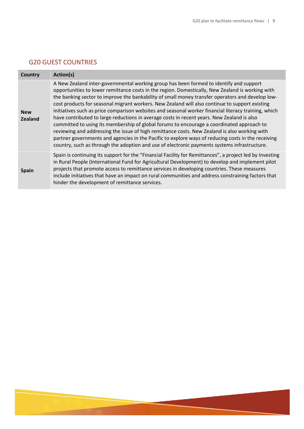## G20 GUEST COUNTRIES

| <b>Country</b>               | Action(s)                                                                                                                                                                                                                                                                                                                                                                                                                                                                                                                                                                                                                                                                                                                                                                                                                                                                                                                                                                                                  |
|------------------------------|------------------------------------------------------------------------------------------------------------------------------------------------------------------------------------------------------------------------------------------------------------------------------------------------------------------------------------------------------------------------------------------------------------------------------------------------------------------------------------------------------------------------------------------------------------------------------------------------------------------------------------------------------------------------------------------------------------------------------------------------------------------------------------------------------------------------------------------------------------------------------------------------------------------------------------------------------------------------------------------------------------|
| <b>New</b><br><b>Zealand</b> | A New Zealand inter-governmental working group has been formed to identify and support<br>opportunities to lower remittance costs in the region. Domestically, New Zealand is working with<br>the banking sector to improve the bankability of small money transfer operators and develop low-<br>cost products for seasonal migrant workers. New Zealand will also continue to support existing<br>initiatives such as price comparison websites and seasonal worker financial literacy training, which<br>have contributed to large reductions in average costs in recent years. New Zealand is also<br>committed to using its membership of global forums to encourage a coordinated approach to<br>reviewing and addressing the issue of high remittance costs. New Zealand is also working with<br>partner governments and agencies in the Pacific to explore ways of reducing costs in the receiving<br>country, such as through the adoption and use of electronic payments systems infrastructure. |
| <b>Spain</b>                 | Spain is continuing its support for the "Financial Facility for Remittances", a project led by Investing<br>in Rural People (International Fund for Agricultural Development) to develop and implement pilot<br>projects that promote access to remittance services in developing countries. These measures<br>include initiatives that have an impact on rural communities and address constraining factors that<br>hinder the development of remittance services.                                                                                                                                                                                                                                                                                                                                                                                                                                                                                                                                        |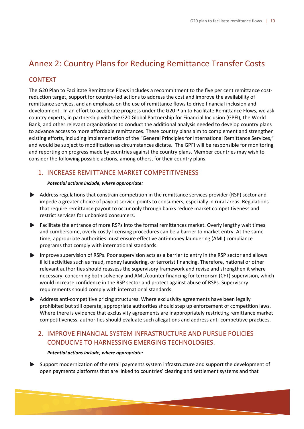## Annex 2: Country Plans for Reducing Remittance Transfer Costs

### CONTEXT

The G20 Plan to Facilitate Remittance Flows includes a recommitment to the five per cent remittance costreduction target, support for country-led actions to address the cost and improve the availability of remittance services, and an emphasis on the use of remittance flows to drive financial inclusion and development. In an effort to accelerate progress under the G20 Plan to Facilitate Remittance Flows, we ask country experts, in partnership with the G20 Global Partnership for Financial Inclusion (GPFI), the World Bank, and other relevant organizations to conduct the additional analysis needed to develop country plans to advance access to more affordable remittances. These country plans aim to complement and strengthen existing efforts, including implementation of the "General Principles for International Remittance Services," and would be subject to modification as circumstances dictate. The GPFI will be responsible for monitoring and reporting on progress made by countries against the country plans. Member countries may wish to consider the following possible actions, among others, for their country plans.

#### 1. INCREASE REMITTANCE MARKET COMPETITIVENESS

#### *Potential actions include, where appropriate:*

- Address regulations that constrain competition in the remittance services provider (RSP) sector and impede a greater choice of payout service points to consumers, especially in rural areas. Regulations that require remittance payout to occur only through banks reduce market competitiveness and restrict services for unbanked consumers.
- Facilitate the entrance of more RSPs into the formal remittances market. Overly lengthy wait times and cumbersome, overly costly licensing procedures can be a barrier to market entry. At the same time, appropriate authorities must ensure effective anti-money laundering (AML) compliance programs that comply with international standards.
- Improve supervision of RSPs. Poor supervision acts as a barrier to entry in the RSP sector and allows illicit activities such as fraud, money laundering, or terrorist financing. Therefore, national or other relevant authorities should reassess the supervisory framework and revise and strengthen it where necessary, concerning both solvency and AML/counter financing for terrorism (CFT) supervision, which would increase confidence in the RSP sector and protect against abuse of RSPs. Supervisory requirements should comply with international standards.
- Address anti-competitive pricing structures. Where exclusivity agreements have been legally prohibited but still operate, appropriate authorities should step up enforcement of competition laws. Where there is evidence that exclusivity agreements are inappropriately restricting remittance market competitiveness, authorities should evaluate such allegations and address anti-competitive practices.

## 2. IMPROVE FINANCIAL SYSTEM INFRASTRUCTURE AND PURSUE POLICIES CONDUCIVE TO HARNESSING EMERGING TECHNOLOGIES.

#### *Potential actions include, where appropriate:*

Support modernization of the retail payments system infrastructure and support the development of open payments platforms that are linked to countries' clearing and settlement systems and that